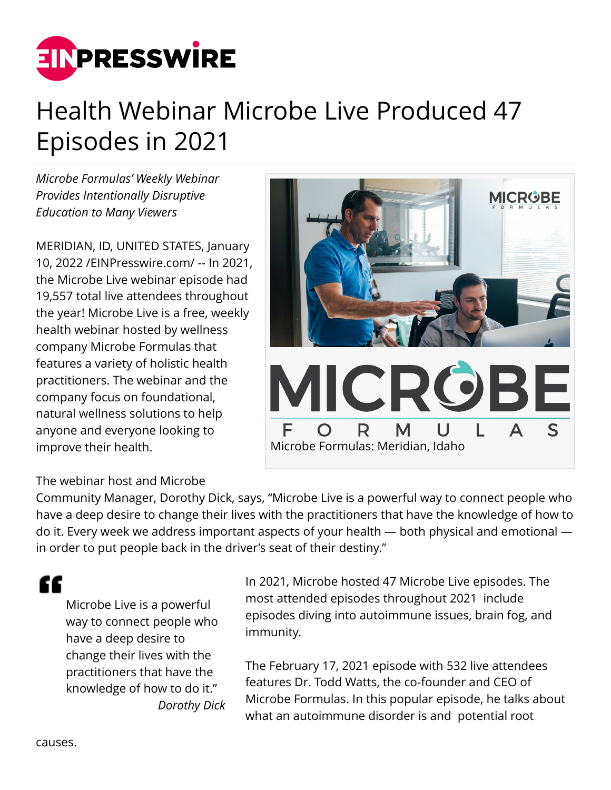

## Health Webinar Microbe Live Produced 47 Episodes in 2021

*Microbe Formulas' Weekly Webinar Provides Intentionally Disruptive Education to Many Viewers* 

MERIDIAN, ID, UNITED STATES, January 10, 2022 /[EINPresswire.com/](http://www.einpresswire.com) -- In 2021, the Microbe Live webinar episode had 19,557 total live attendees throughout the year! Microbe Live is a free, weekly health webinar hosted by wellness company Microbe Formulas that features a variety of holistic health practitioners. The webinar and the company focus on foundational, natural wellness solutions to help anyone and everyone looking to improve their health.



## The webinar host and Microbe

Community Manager, Dorothy Dick, says, "Microbe Live is a powerful way to connect people who have a deep desire to change their lives with the practitioners that have the knowledge of how to do it. Every week we address important aspects of your health — both physical and emotional in order to put people back in the driver's seat of their destiny."

## "

Microbe Live is a powerful way to connect people who have a deep desire to change their lives with the practitioners that have the knowledge of how to do it." *Dorothy Dick* In 2021, Microbe hosted 47 Microbe Live episodes. The most attended episodes throughout 2021 include episodes diving into autoimmune issues, brain fog, and immunity.

The February 17, 2021 episode with 532 live attendees features Dr. Todd Watts, the co-founder and CEO of Microbe Formulas. In this popular episode, he talks about what an autoimmune disorder is and potential root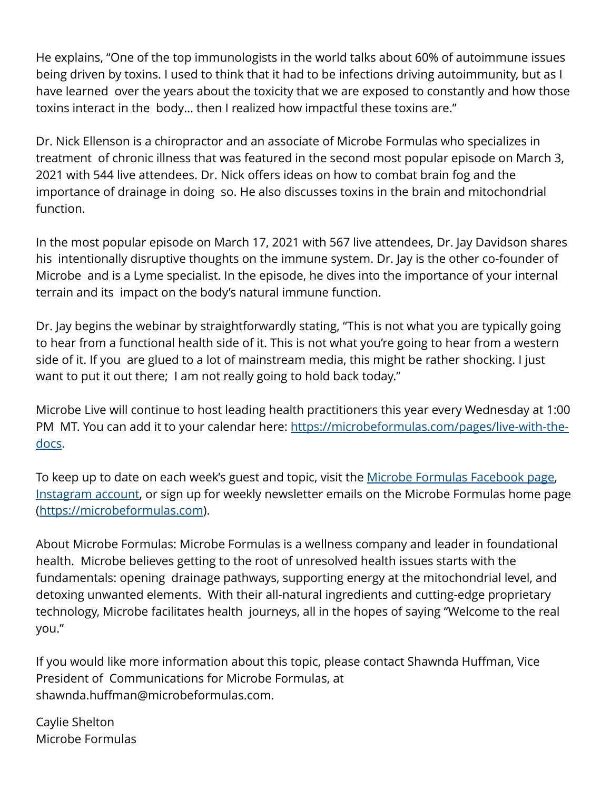He explains, "One of the top immunologists in the world talks about 60% of autoimmune issues being driven by toxins. I used to think that it had to be infections driving autoimmunity, but as I have learned over the years about the toxicity that we are exposed to constantly and how those toxins interact in the body… then I realized how impactful these toxins are."

Dr. Nick Ellenson is a chiropractor and an associate of Microbe Formulas who specializes in treatment of chronic illness that was featured in the second most popular episode on March 3, 2021 with 544 live attendees. Dr. Nick offers ideas on how to combat brain fog and the importance of drainage in doing so. He also discusses toxins in the brain and mitochondrial function.

In the most popular episode on March 17, 2021 with 567 live attendees, Dr. Jay Davidson shares his intentionally disruptive thoughts on the immune system. Dr. Jay is the other co-founder of Microbe and is a Lyme specialist. In the episode, he dives into the importance of your internal terrain and its impact on the body's natural immune function.

Dr. Jay begins the webinar by straightforwardly stating, "This is not what you are typically going to hear from a functional health side of it. This is not what you're going to hear from a western side of it. If you are glued to a lot of mainstream media, this might be rather shocking. I just want to put it out there; I am not really going to hold back today."

Microbe Live will continue to host leading health practitioners this year every Wednesday at 1:00 PM MT. You can add it to your calendar here: [https://microbeformulas.com/pages/live-with-the](https://microbeformulas.com/pages/live-with-the-docs)[docs](https://microbeformulas.com/pages/live-with-the-docs).

To keep up to date on each week's guest and topic, visit the [Microbe Formulas Facebook page,](https://www.facebook.com/MicrobeFormulas) [Instagram account,](https://www.instagram.com/microbeformulas/) or sign up for weekly newsletter emails on the Microbe Formulas home page ([https://microbeformulas.com\)](https://microbeformulas.com).

About Microbe Formulas: Microbe Formulas is a wellness company and leader in foundational health. Microbe believes getting to the root of unresolved health issues starts with the fundamentals: opening drainage pathways, supporting energy at the mitochondrial level, and detoxing unwanted elements. With their all-natural ingredients and cutting-edge proprietary technology, Microbe facilitates health journeys, all in the hopes of saying "Welcome to the real you."

If you would like more information about this topic, please contact Shawnda Huffman, Vice President of Communications for Microbe Formulas, at shawnda.huffman@microbeformulas.com.

Caylie Shelton Microbe Formulas